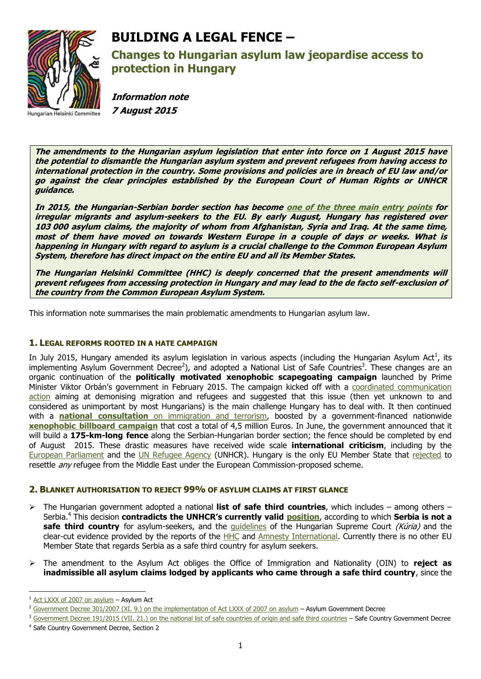

# **BUILDING A LEGAL FENCE –**

**Changes to Hungarian asylum law jeopardise access to protection in Hungary**

**Information note 7 August 2015**

**The amendments to the Hungarian asylum legislation that enter into force on 1 August 2015 have the potential to dismantle the Hungarian asylum system and prevent refugees from having access to international protection in the country. Some provisions and policies are in breach of EU law and/or go against the clear principles established by the European Court of Human Rights or UNHCR guidance.** 

**In 2015, the Hungarian-Serbian border section has become [one of the three main entry points](http://frontex.europa.eu/trends-and-routes/migratory-routes-map/) for irregular migrants and asylum-seekers to the EU. By early August, Hungary has registered over 103 000 asylum claims, the majority of whom from Afghanistan, Syria and Iraq. At the same time, most of them have moved on towards Western Europe in a couple of days or weeks. What is happening in Hungary with regard to asylum is a crucial challenge to the Common European Asylum System, therefore has direct impact on the entire EU and all its Member States.** 

**The Hungarian Helsinki Committee (HHC) is deeply concerned that the present amendments will prevent refugees from accessing protection in Hungary and may lead to the de facto self-exclusion of the country from the Common European Asylum System.** 

This information note summarises the main problematic amendments to Hungarian asylum law.

# **1. LEGAL REFORMS ROOTED IN A HATE CAMPAIGN**

In July 2015, Hungary amended its asylum legislation in various aspects (including the Hungarian Asylum Act<sup>1</sup>, its implementing Asylum Government Decree<sup>2</sup>), and adopted a National List of Safe Countries<sup>3</sup>. These changes are an organic continuation of the **politically motivated xenophobic scapegoating campaign** launched by Prime Minister Viktor Orbán's government in February 2015. The campaign kicked off with a [coordinated communication](http://helsinki.hu/wp-content/uploads/Asylum-2015-Hungary-press-info-4March2015.pdf)  [action](http://helsinki.hu/wp-content/uploads/Asylum-2015-Hungary-press-info-4March2015.pdf) aiming at demonising migration and refugees and suggested that this issue (then yet unknown to and considered as unimportant by most Hungarians) is the main challenge Hungary has to deal with. It then continued with a **national consultation** [on immigration and terrorism,](http://www.kormany.hu/download/9/a3/50000/Nemzetikonzultacio_mmkorrnel.docx) boosted by a government-financed nationwide **[xenophobic billboard](http://budapestbeacon.com/public-policy/hungarian-government-launches-xenophobic-billboard-campaign/24034) campaign** that cost a total of 4,5 million Euros. In June, the government announced that it will build a **175-km-long fence** along the Serbian-Hungarian border section; the fence should be completed by end of August 2015. These drastic measures have received wide scale **international criticism**, including by the [European Parliament](http://www.europarl.europa.eu/news/en/news-room/content/20150605IPR63112/html/Hungary-MEPs-condemn-Orb%C3%A1n%E2%80%99s-death-penalty-statements-and-migration-survey) and the [UN Refugee Agency](http://www.unhcr.org/554cc16e9.html) (UNHCR). Hungary is the only EU Member State that [rejected](https://euobserver.com/justice/129715) to resettle *any* refugee from the Middle East under the European Commission-proposed scheme.

# **2. BLANKET AUTHORISATION TO REJECT 99% OF ASYLUM CLAIMS AT FIRST GLANCE**

- The Hungarian government adopted a national **list of safe third countries**, which includes among others Serbia.<sup>4</sup> This decision **contradicts the UNHCR's currently valid [position](http://www.unhcr.rs/media/UNHCRSerbiaCountryofAsylumScreen.pdf)**, according to which **Serbia is not a safe third country** for asylum-seekers, and the quidelines of the Hungarian Supreme Court (Kúria) and the clear-cut evidence provided by the reports of the [HHC](http://helsinki.hu/wp-content/uploads/Serbia-report-final.pdf) and Amnesty [International.](http://www.amnestyusa.org/sites/default/files/ser-mac_migration_report_final.compressed.pdf) Currently there is no other EU Member State that regards Serbia as a safe third country for asylum seekers.
- The amendment to the Asylum Act obliges the Office of Immigration and Nationality (OIN) to **reject as inadmissible all asylum claims lodged by applicants who came through a safe third country**, since the

 $1$  [Act LXXX of 2007 on asylum](http://njt.hu/cgi_bin/njt_doc.cgi?docid=110729.296203) – Asylum Act

<sup>&</sup>lt;sup>2</sup> [Government Decree 301/2007 \(XI. 9.\) on the implementation of Act LXXX of 2007 on asylum](http://njt.hu/cgi_bin/njt_doc.cgi?docid=112508.296631#foot_193_place) – Asylum Government Decree

<sup>&</sup>lt;sup>3</sup> [Government Decree 191/2015 \(VII. 21.\) on the national list of safe countries of origin and safe third countries](http://njt.hu/cgi_bin/njt_doc.cgi?docid=176824.296526) - Safe Country Government Decree 4 Safe Country Government Decree, Section 2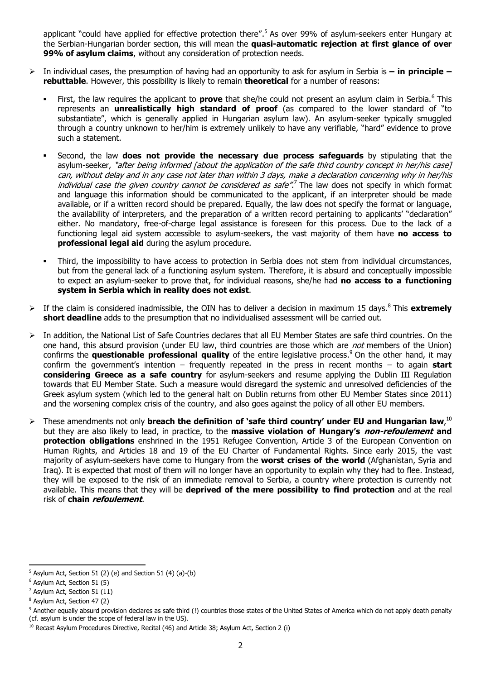applicant "could have applied for effective protection there".<sup>5</sup> As over 99% of asylum-seekers enter Hungary at the Serbian-Hungarian border section, this will mean the **quasi-automatic rejection at first glance of over 99% of asylum claims**, without any consideration of protection needs.

- In individual cases, the presumption of having had an opportunity to ask for asylum in Serbia is **– in principle – rebuttable**. However, this possibility is likely to remain **theoretical** for a number of reasons:
	- First, the law requires the applicant to **prove** that she/he could not present an asylum claim in Serbia.<sup>6</sup> This represents an **unrealistically high standard of proof** (as compared to the lower standard of "to substantiate", which is generally applied in Hungarian asylum law). An asylum-seeker typically smuggled through a country unknown to her/him is extremely unlikely to have any verifiable, "hard" evidence to prove such a statement.
	- Second, the law **does not provide the necessary due process safeguards** by stipulating that the asylum-seeker, "after being informed [about the application of the safe third country concept in her/his case] can, without delay and in any case not later than within 3 days, make a declaration concerning why in her/his individual case the given country cannot be considered as safe".<sup>7</sup> The law does not specify in which format and language this information should be communicated to the applicant, if an interpreter should be made available, or if a written record should be prepared. Equally, the law does not specify the format or language, the availability of interpreters, and the preparation of a written record pertaining to applicants' "declaration" either. No mandatory, free-of-charge legal assistance is foreseen for this process. Due to the lack of a functioning legal aid system accessible to asylum-seekers, the vast majority of them have **no access to professional legal aid** during the asylum procedure.
	- Third, the impossibility to have access to protection in Serbia does not stem from individual circumstances, but from the general lack of a functioning asylum system. Therefore, it is absurd and conceptually impossible to expect an asylum-seeker to prove that, for individual reasons, she/he had **no access to a functioning system in Serbia which in reality does not exist**.
- > If the claim is considered inadmissible, the OIN has to deliver a decision in maximum 15 days.<sup>8</sup> This extremely **short deadline** adds to the presumption that no individualised assessment will be carried out.
- In addition, the National List of Safe Countries declares that all EU Member States are safe third countries. On the one hand, this absurd provision (under EU law, third countries are those which are *not* members of the Union) confirms the **questionable professional quality** of the entire legislative process. <sup>9</sup> On the other hand, it may confirm the government's intention – frequently repeated in the press in recent months – to again **start considering Greece as a safe country** for asylum-seekers and resume applying the Dublin III Regulation towards that EU Member State. Such a measure would disregard the systemic and unresolved deficiencies of the Greek asylum system (which led to the general halt on Dublin returns from other EU Member States since 2011) and the worsening complex crisis of the country, and also goes against the policy of all other EU members.
- These amendments not only **breach the definition of 'safe third country' under EU and Hungarian law**, 10 but they are also likely to lead, in practice, to the **massive violation of Hungary's non-refoulement and protection obligations** enshrined in the 1951 Refugee Convention, Article 3 of the European Convention on Human Rights, and Articles 18 and 19 of the EU Charter of Fundamental Rights. Since early 2015, the vast majority of asylum-seekers have come to Hungary from the **worst crises of the world** (Afghanistan, Syria and Iraq). It is expected that most of them will no longer have an opportunity to explain why they had to flee. Instead, they will be exposed to the risk of an immediate removal to Serbia, a country where protection is currently not available. This means that they will be **deprived of the mere possibility to find protection** and at the real risk of **chain refoulement**.

 $5$  Asylum Act, Section 51 (2) (e) and Section 51 (4) (a)-(b)

<sup>6</sup> Asylum Act, Section 51 (5)

<sup>7</sup> Asylum Act, Section 51 (11)

<sup>8</sup> Asylum Act, Section 47 (2)

<sup>&</sup>lt;sup>9</sup> Another equally absurd provision declares as safe third (!) countries those states of the United States of America which do not apply death penalty (cf. asylum is under the scope of federal law in the US).

 $10$  Recast Asylum Procedures Directive, Recital (46) and Article 38; Asylum Act, Section 2 (i)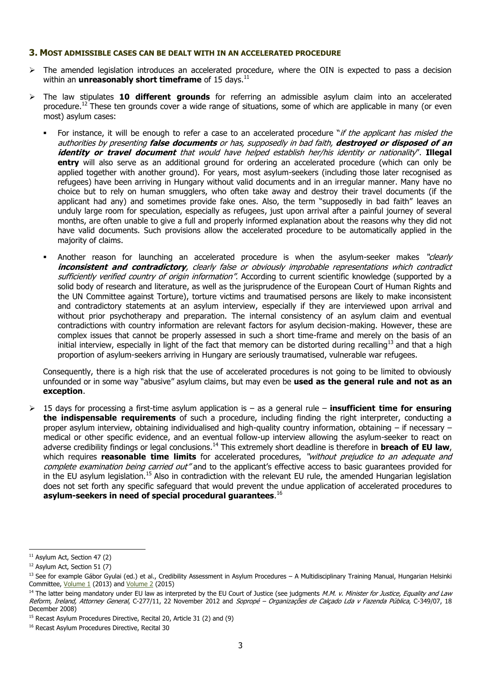#### **3. MOST ADMISSIBLE CASES CAN BE DEALT WITH IN AN ACCELERATED PROCEDURE**

- $\triangleright$  The amended legislation introduces an accelerated procedure, where the OIN is expected to pass a decision within an **unreasonably short timeframe** of 15 days.<sup>11</sup>
- The law stipulates **10 different grounds** for referring an admissible asylum claim into an accelerated procedure.<sup>12</sup> These ten grounds cover a wide range of situations, some of which are applicable in many (or even most) asylum cases:
	- For instance, it will be enough to refer a case to an accelerated procedure "if the applicant has misled the authorities by presenting **false documents** or has, supposedly in bad faith, **destroyed or disposed of an identity or travel document** that would have helped establish her/his identity or nationality". **Illegal entry** will also serve as an additional ground for ordering an accelerated procedure (which can only be applied together with another ground). For years, most asylum-seekers (including those later recognised as refugees) have been arriving in Hungary without valid documents and in an irregular manner. Many have no choice but to rely on human smugglers, who often take away and destroy their travel documents (if the applicant had any) and sometimes provide fake ones. Also, the term "supposedly in bad faith" leaves an unduly large room for speculation, especially as refugees, just upon arrival after a painful journey of several months, are often unable to give a full and properly informed explanation about the reasons why they did not have valid documents. Such provisions allow the accelerated procedure to be automatically applied in the majority of claims.
	- Another reason for launching an accelerated procedure is when the asylum-seeker makes "clearly **inconsistent and contradictory**, clearly false or obviously improbable representations which contradict sufficiently verified country of origin information". According to current scientific knowledge (supported by a solid body of research and literature, as well as the jurisprudence of the European Court of Human Rights and the UN Committee against Torture), torture victims and traumatised persons are likely to make inconsistent and contradictory statements at an asylum interview, especially if they are interviewed upon arrival and without prior psychotherapy and preparation. The internal consistency of an asylum claim and eventual contradictions with country information are relevant factors for asylum decision-making. However, these are complex issues that cannot be properly assessed in such a short time-frame and merely on the basis of an initial interview, especially in light of the fact that memory can be distorted during recalling<sup>13</sup> and that a high proportion of asylum-seekers arriving in Hungary are seriously traumatised, vulnerable war refugees.

Consequently, there is a high risk that the use of accelerated procedures is not going to be limited to obviously unfounded or in some way "abusive" asylum claims, but may even be **used as the general rule and not as an exception**.

 15 days for processing a first-time asylum application is – as a general rule – **insufficient time for ensuring the indispensable requirements** of such a procedure, including finding the right interpreter, conducting a proper asylum interview, obtaining individualised and high-quality country information, obtaining – if necessary – medical or other specific evidence, and an eventual follow-up interview allowing the asylum-seeker to react on adverse credibility findings or legal conclusions.<sup>14</sup> This extremely short deadline is therefore in **breach of EU law**, which requires **reasonable time limits** for accelerated procedures, "without prejudice to an adequate and complete examination being carried out" and to the applicant's effective access to basic guarantees provided for in the EU asylum legislation.<sup>15</sup> Also in contradiction with the relevant EU rule, the amended Hungarian legislation does not set forth any specific safeguard that would prevent the undue application of accelerated procedures to **asylum-seekers in need of special procedural guarantees**. 16

<sup>&</sup>lt;sup>11</sup> Asylum Act, Section 47 (2)

<sup>&</sup>lt;sup>12</sup> Asylum Act, Section 51 (7)

<sup>&</sup>lt;sup>13</sup> See for example Gábor Gyulai (ed.) et al., Credibility Assessment in Asylum Procedures – A Multidisciplinary Training Manual, Hungarian Helsinki Committee, [Volume 1](http://www.refworld.org/docid/5253bd9a4.html) (2013) and [Volume 2](http://www.refworld.org/docid/5582addb4.html) (2015)

<sup>&</sup>lt;sup>14</sup> The latter being mandatory under EU law as interpreted by the EU Court of Justice (see judgments M.M. v. Minister for Justice, Equality and Law Reform, Ireland, Attorney General, C-277/11, 22 November 2012 and Sopropé – Organizações de Calçado Lda v Fazenda Pública, C-349/07, 18 December 2008)

<sup>&</sup>lt;sup>15</sup> Recast Asylum Procedures Directive, Recital 20, Article 31 (2) and (9)

<sup>&</sup>lt;sup>16</sup> Recast Asylum Procedures Directive, Recital 30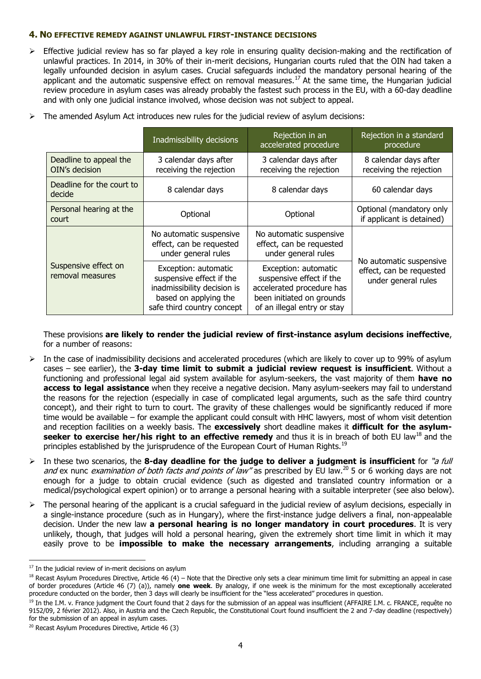### **4. NO EFFECTIVE REMEDY AGAINST UNLAWFUL FIRST-INSTANCE DECISIONS**

 Effective judicial review has so far played a key role in ensuring quality decision-making and the rectification of unlawful practices. In 2014, in 30% of their in-merit decisions, Hungarian courts ruled that the OIN had taken a legally unfounded decision in asylum cases. Crucial safeguards included the mandatory personal hearing of the applicant and the automatic suspensive effect on removal measures.<sup>17</sup> At the same time, the Hungarian judicial review procedure in asylum cases was already probably the fastest such process in the EU, with a 60-day deadline and with only one judicial instance involved, whose decision was not subject to appeal.

|  |                                          | Inadmissibility decisions                                                                                                              | Rejection in an<br>accelerated procedure                                                                                                  | Rejection in a standard<br>procedure                                       |
|--|------------------------------------------|----------------------------------------------------------------------------------------------------------------------------------------|-------------------------------------------------------------------------------------------------------------------------------------------|----------------------------------------------------------------------------|
|  | Deadline to appeal the<br>OIN's decision | 3 calendar days after<br>receiving the rejection                                                                                       | 3 calendar days after<br>receiving the rejection                                                                                          | 8 calendar days after<br>receiving the rejection                           |
|  | Deadline for the court to<br>decide      | 8 calendar days                                                                                                                        | 8 calendar days                                                                                                                           | 60 calendar days                                                           |
|  | Personal hearing at the<br>court         | Optional                                                                                                                               | Optional                                                                                                                                  | Optional (mandatory only<br>if applicant is detained)                      |
|  | Suspensive effect on<br>removal measures | No automatic suspensive<br>effect, can be requested<br>under general rules                                                             | No automatic suspensive<br>effect, can be requested<br>under general rules                                                                | No automatic suspensive<br>effect, can be requested<br>under general rules |
|  |                                          | Exception: automatic<br>suspensive effect if the<br>inadmissibility decision is<br>based on applying the<br>safe third country concept | Exception: automatic<br>suspensive effect if the<br>accelerated procedure has<br>been initiated on grounds<br>of an illegal entry or stay |                                                                            |

 $\triangleright$  The amended Asylum Act introduces new rules for the judicial review of asylum decisions:

These provisions **are likely to render the judicial review of first-instance asylum decisions ineffective**, for a number of reasons:

- $\triangleright$  In the case of inadmissibility decisions and accelerated procedures (which are likely to cover up to 99% of asylum cases – see earlier), the **3-day time limit to submit a judicial review request is insufficient**. Without a functioning and professional legal aid system available for asylum-seekers, the vast majority of them **have no access to legal assistance** when they receive a negative decision. Many asylum-seekers may fail to understand the reasons for the rejection (especially in case of complicated legal arguments, such as the safe third country concept), and their right to turn to court. The gravity of these challenges would be significantly reduced if more time would be available – for example the applicant could consult with HHC lawyers, most of whom visit detention and reception facilities on a weekly basis. The **excessively** short deadline makes it **difficult for the asylumseeker to exercise her/his right to an effective remedy** and thus it is in breach of both EU law<sup>18</sup> and the principles established by the jurisprudence of the European Court of Human Rights.<sup>19</sup>
- In these two scenarios, the **8-day deadline for the judge to deliver a judgment is insufficient** for "a full and ex nunc *examination of both facts and points of law*<sup>"</sup> as prescribed by EU law.<sup>20</sup> 5 or 6 working days are not enough for a judge to obtain crucial evidence (such as digested and translated country information or a medical/psychological expert opinion) or to arrange a personal hearing with a suitable interpreter (see also below).
- $\triangleright$  The personal hearing of the applicant is a crucial safeguard in the judicial review of asylum decisions, especially in a single-instance procedure (such as in Hungary), where the first-instance judge delivers a final, non-appealable decision. Under the new law **a personal hearing is no longer mandatory in court procedures**. It is very unlikely, though, that judges will hold a personal hearing, given the extremely short time limit in which it may easily prove to be **impossible to make the necessary arrangements**, including arranging a suitable

 $17$  In the judicial review of in-merit decisions on asylum

 $18$  Recast Asylum Procedures Directive, Article 46 (4) – Note that the Directive only sets a clear minimum time limit for submitting an appeal in case of border procedures (Article 46 (7) (a)), namely **one week**. By analogy, if one week is the minimum for the most exceptionally accelerated procedure conducted on the border, then 3 days will clearly be insufficient for the "less accelerated" procedures in question.

<sup>&</sup>lt;sup>19</sup> In the I.M. v. France judgment the Court found that 2 days for the submission of an appeal was insufficient (AFFAIRE I.M. c. FRANCE, requête no 9152/09, 2 février 2012). Also, in Austria and the Czech Republic, the Constitutional Court found insufficient the 2 and 7-day deadline (respectively) for the submission of an appeal in asylum cases.

<sup>20</sup> Recast Asylum Procedures Directive, Article 46 (3)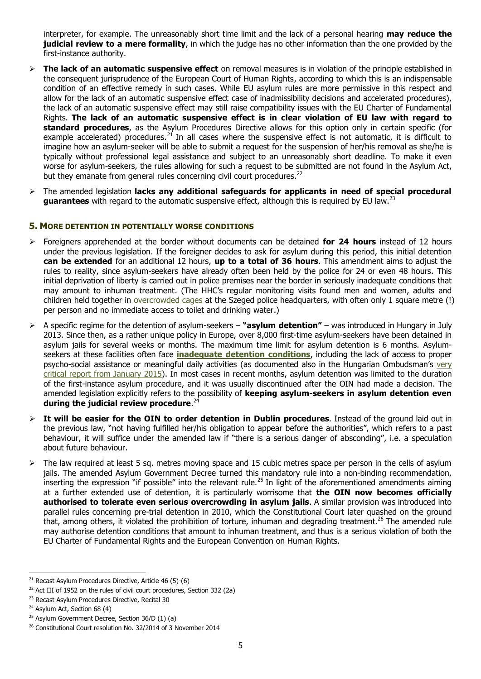interpreter, for example. The unreasonably short time limit and the lack of a personal hearing **may reduce the judicial review to a mere formality**, in which the judge has no other information than the one provided by the first-instance authority.

- **The lack of an automatic suspensive effect** on removal measures is in violation of the principle established in the consequent jurisprudence of the European Court of Human Rights, according to which this is an indispensable condition of an effective remedy in such cases. While EU asylum rules are more permissive in this respect and allow for the lack of an automatic suspensive effect case of inadmissibility decisions and accelerated procedures), the lack of an automatic suspensive effect may still raise compatibility issues with the EU Charter of Fundamental Rights. **The lack of an automatic suspensive effect is in clear violation of EU law with regard to standard procedures**, as the Asylum Procedures Directive allows for this option only in certain specific (for example accelerated) procedures.<sup>21</sup> In all cases where the suspensive effect is not automatic, it is difficult to imagine how an asylum-seeker will be able to submit a request for the suspension of her/his removal as she/he is typically without professional legal assistance and subject to an unreasonably short deadline. To make it even worse for asylum-seekers, the rules allowing for such a request to be submitted are not found in the Asylum Act, but they emanate from general rules concerning civil court procedures.<sup>22</sup>
- The amended legislation **lacks any additional safeguards for applicants in need of special procedural**  guarantees with regard to the automatic suspensive effect, although this is required by EU law.<sup>23</sup>

## **5. MORE DETENTION IN POTENTIALLY WORSE CONDITIONS**

- Foreigners apprehended at the border without documents can be detained **for 24 hours** instead of 12 hours under the previous legislation. If the foreigner decides to ask for asylum during this period, this initial detention **can be extended** for an additional 12 hours, **up to a total of 36 hours**. This amendment aims to adjust the rules to reality, since asylum-seekers have already often been held by the police for 24 or even 48 hours. This initial deprivation of liberty is carried out in police premises near the border in seriously inadequate conditions that may amount to inhuman treatment. (The HHC's regular monitoring visits found men and women, adults and children held together in [overcrowded cages](http://helsinki.hu/wp-content/uploads/MHB-latogatas-Szeged-HRK-2015-feb-24.pdf) at the Szeged police headquarters, with often only 1 square metre (!) per person and no immediate access to toilet and drinking water.)
- A specific regime for the detention of asylum-seekers **"asylum detention"** was introduced in Hungary in July 2013. Since then, as a rather unique policy in Europe, over 8,000 first-time asylum-seekers have been detained in asylum jails for several weeks or months. The maximum time limit for asylum detention is 6 months. Asylumseekers at these facilities often face **[inadequate detention conditions](http://www.asylumineurope.org/reports/country/hungary/detention-conditions)**, including the lack of access to proper psycho-social assistance or meaningful daily activities (as documented also in the Hungarian Ombudsman's [very](http://www.ajbh.hu/documents/14315/1887891/Report+on+monitoring+the+Debrecen+Guarded+Refugee+Reception+Centre++366_2015.pdf/4a45943e-f0f6-42d6-acc5-21d050e81f2f)  [critical report](http://www.ajbh.hu/documents/14315/1887891/Report+on+monitoring+the+Debrecen+Guarded+Refugee+Reception+Centre++366_2015.pdf/4a45943e-f0f6-42d6-acc5-21d050e81f2f) from January 2015). In most cases in recent months, asylum detention was limited to the duration of the first-instance asylum procedure, and it was usually discontinued after the OIN had made a decision. The amended legislation explicitly refers to the possibility of **keeping asylum-seekers in asylum detention even during the judicial review procedure**. 24
- **It will be easier for the OIN to order detention in Dublin procedures**. Instead of the ground laid out in the previous law, "not having fulfilled her/his obligation to appear before the authorities", which refers to a past behaviour, it will suffice under the amended law if "there is a serious danger of absconding", i.e. a speculation about future behaviour.
- $\triangleright$  The law required at least 5 sq. metres moving space and 15 cubic metres space per person in the cells of asylum jails. The amended Asylum Government Decree turned this mandatory rule into a non-binding recommendation, inserting the expression "if possible" into the relevant rule.<sup>25</sup> In light of the aforementioned amendments aiming at a further extended use of detention, it is particularly worrisome that **the OIN now becomes officially authorised to tolerate even serious overcrowding in asylum jails**. A similar provision was introduced into parallel rules concerning pre-trial detention in 2010, which the Constitutional Court later quashed on the ground that, among others, it violated the prohibition of torture, inhuman and degrading treatment.<sup>26</sup> The amended rule may authorise detention conditions that amount to inhuman treatment, and thus is a serious violation of both the EU Charter of Fundamental Rights and the European Convention on Human Rights.

<sup>-</sup> $21$  Recast Asylum Procedures Directive, Article 46 (5)-(6)

 $22$  Act III of 1952 on the rules of civil court procedures, Section 332 (2a)

<sup>&</sup>lt;sup>23</sup> Recast Asylum Procedures Directive, Recital 30

<sup>&</sup>lt;sup>24</sup> Asylum Act, Section 68 (4)

 $25$  Asylum Government Decree, Section 36/D (1) (a)

<sup>&</sup>lt;sup>26</sup> Constitutional Court resolution No. 32/2014 of 3 November 2014